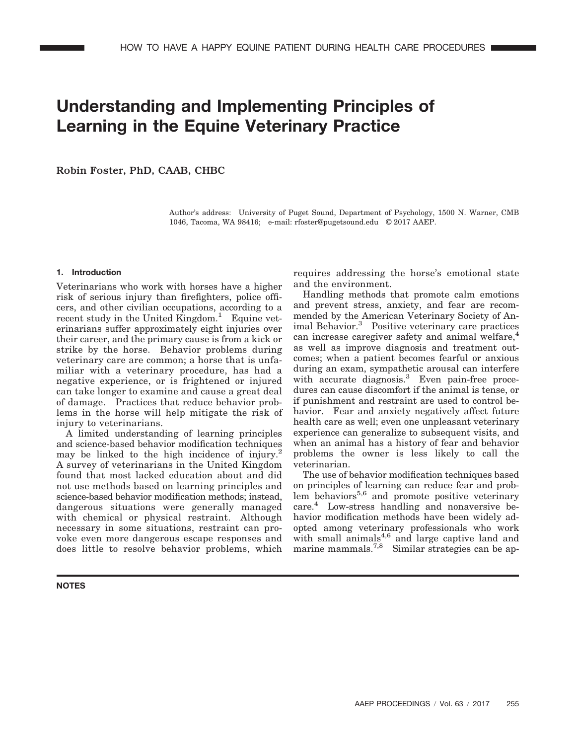# **Understanding and Implementing Principles of Learning in the Equine Veterinary Practice**

Robin Foster, PhD, CAAB, CHBC

Author's address: University of Puget Sound, Department of Psychology, 1500 N. Warner, CMB 1046, Tacoma, WA 98416; e-mail: rfoster@pugetsound.edu © 2017 AAEP.

## **1. Introduction**

Veterinarians who work with horses have a higher risk of serious injury than firefighters, police officers, and other civilian occupations, according to a recent study in the United Kingdom. $\frac{1}{1}$  Equine veterinarians suffer approximately eight injuries over their career, and the primary cause is from a kick or strike by the horse. Behavior problems during veterinary care are common; a horse that is unfamiliar with a veterinary procedure, has had a negative experience, or is frightened or injured can take longer to examine and cause a great deal of damage. Practices that reduce behavior problems in the horse will help mitigate the risk of injury to veterinarians.

A limited understanding of learning principles and science-based behavior modification techniques may be linked to the high incidence of injury.<sup>2</sup> A survey of veterinarians in the United Kingdom found that most lacked education about and did not use methods based on learning principles and science-based behavior modification methods; instead, dangerous situations were generally managed with chemical or physical restraint. Although necessary in some situations, restraint can provoke even more dangerous escape responses and does little to resolve behavior problems, which

**NOTES**

requires addressing the horse's emotional state and the environment.

Handling methods that promote calm emotions and prevent stress, anxiety, and fear are recommended by the American Veterinary Society of Animal Behavior.<sup>3</sup> Positive veterinary care practices can increase caregiver safety and animal welfare,<sup>4</sup> as well as improve diagnosis and treatment outcomes; when a patient becomes fearful or anxious during an exam, sympathetic arousal can interfere with accurate diagnosis.<sup>3</sup> Even pain-free procedures can cause discomfort if the animal is tense, or if punishment and restraint are used to control behavior. Fear and anxiety negatively affect future health care as well; even one unpleasant veterinary experience can generalize to subsequent visits, and when an animal has a history of fear and behavior problems the owner is less likely to call the veterinarian.

The use of behavior modification techniques based on principles of learning can reduce fear and problem behaviors<sup>5,6</sup> and promote positive veterinary care.<sup>4</sup> Low-stress handling and nonaversive behavior modification methods have been widely adopted among veterinary professionals who work with small animals $4,6$  and large captive land and marine mammals.<sup>7,8</sup> Similar strategies can be ap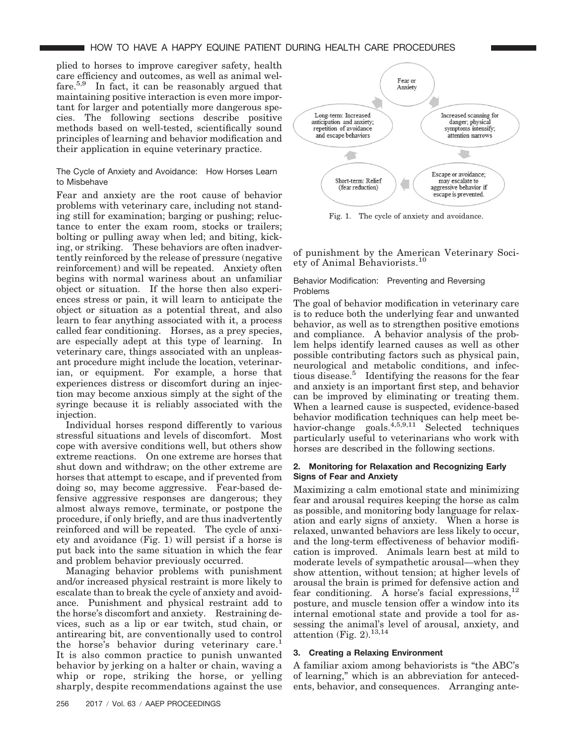plied to horses to improve caregiver safety, health care efficiency and outcomes, as well as animal welfare.5,9 In fact, it can be reasonably argued that maintaining positive interaction is even more important for larger and potentially more dangerous species. The following sections describe positive methods based on well-tested, scientifically sound principles of learning and behavior modification and their application in equine veterinary practice.

## The Cycle of Anxiety and Avoidance: How Horses Learn to Misbehave

Fear and anxiety are the root cause of behavior problems with veterinary care, including not standing still for examination; barging or pushing; reluctance to enter the exam room, stocks or trailers; bolting or pulling away when led; and biting, kicking, or striking. These behaviors are often inadvertently reinforced by the release of pressure (negative reinforcement) and will be repeated. Anxiety often begins with normal wariness about an unfamiliar object or situation. If the horse then also experiences stress or pain, it will learn to anticipate the object or situation as a potential threat, and also learn to fear anything associated with it, a process called fear conditioning. Horses, as a prey species, are especially adept at this type of learning. In veterinary care, things associated with an unpleasant procedure might include the location, veterinarian, or equipment. For example, a horse that experiences distress or discomfort during an injection may become anxious simply at the sight of the syringe because it is reliably associated with the injection.

Individual horses respond differently to various stressful situations and levels of discomfort. Most cope with aversive conditions well, but others show extreme reactions. On one extreme are horses that shut down and withdraw; on the other extreme are horses that attempt to escape, and if prevented from doing so, may become aggressive. Fear-based defensive aggressive responses are dangerous; they almost always remove, terminate, or postpone the procedure, if only briefly, and are thus inadvertently reinforced and will be repeated. The cycle of anxiety and avoidance (Fig. 1) will persist if a horse is put back into the same situation in which the fear and problem behavior previously occurred.

Managing behavior problems with punishment and/or increased physical restraint is more likely to escalate than to break the cycle of anxiety and avoidance. Punishment and physical restraint add to the horse's discomfort and anxiety. Restraining devices, such as a lip or ear twitch, stud chain, or antirearing bit, are conventionally used to control the horse's behavior during veterinary care.<sup>1</sup> It is also common practice to punish unwanted behavior by jerking on a halter or chain, waving a whip or rope, striking the horse, or yelling sharply, despite recommendations against the use



Fig. 1. The cycle of anxiety and avoidance.

of punishment by the American Veterinary Society of Animal Behaviorists.<sup>10</sup>

## Behavior Modification: Preventing and Reversing Problems

The goal of behavior modification in veterinary care is to reduce both the underlying fear and unwanted behavior, as well as to strengthen positive emotions and compliance. A behavior analysis of the problem helps identify learned causes as well as other possible contributing factors such as physical pain, neurological and metabolic conditions, and infectious disease.<sup>5</sup> Identifying the reasons for the fear and anxiety is an important first step, and behavior can be improved by eliminating or treating them. When a learned cause is suspected, evidence-based behavior modification techniques can help meet behavior-change goals.<sup>4,5,9,11</sup> Selected techniques particularly useful to veterinarians who work with horses are described in the following sections.

## **2. Monitoring for Relaxation and Recognizing Early Signs of Fear and Anxiety**

Maximizing a calm emotional state and minimizing fear and arousal requires keeping the horse as calm as possible, and monitoring body language for relaxation and early signs of anxiety. When a horse is relaxed, unwanted behaviors are less likely to occur, and the long-term effectiveness of behavior modification is improved. Animals learn best at mild to moderate levels of sympathetic arousal—when they show attention, without tension; at higher levels of arousal the brain is primed for defensive action and fear conditioning. A horse's facial expressions,  $^{12}$ posture, and muscle tension offer a window into its internal emotional state and provide a tool for assessing the animal's level of arousal, anxiety, and attention (Fig.  $2$ ).<sup>13,14</sup>

# **3. Creating a Relaxing Environment**

A familiar axiom among behaviorists is "the ABC's of learning," which is an abbreviation for antecedents, behavior, and consequences. Arranging ante-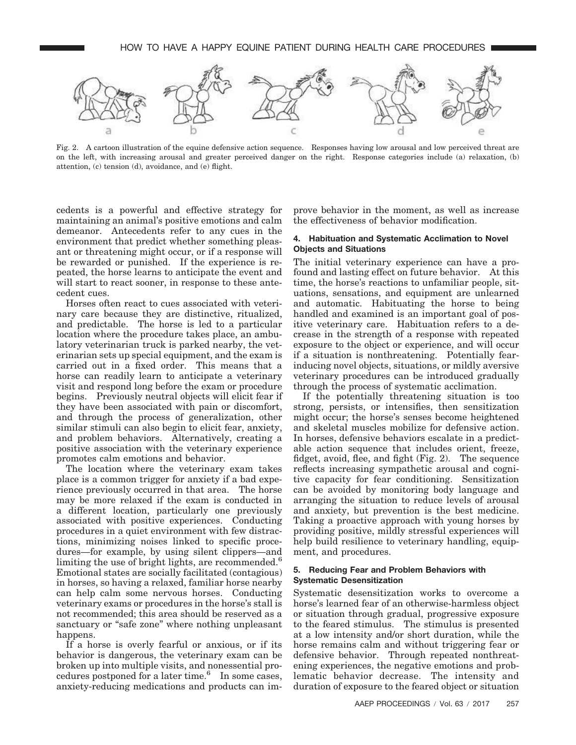

Fig. 2. A cartoon illustration of the equine defensive action sequence. Responses having low arousal and low perceived threat are on the left, with increasing arousal and greater perceived danger on the right. Response categories include (a) relaxation, (b) attention, (c) tension (d), avoidance, and (e) flight.

cedents is a powerful and effective strategy for maintaining an animal's positive emotions and calm demeanor. Antecedents refer to any cues in the environment that predict whether something pleasant or threatening might occur, or if a response will be rewarded or punished. If the experience is repeated, the horse learns to anticipate the event and will start to react sooner, in response to these antecedent cues.

Horses often react to cues associated with veterinary care because they are distinctive, ritualized, and predictable. The horse is led to a particular location where the procedure takes place, an ambulatory veterinarian truck is parked nearby, the veterinarian sets up special equipment, and the exam is carried out in a fixed order. This means that a horse can readily learn to anticipate a veterinary visit and respond long before the exam or procedure begins. Previously neutral objects will elicit fear if they have been associated with pain or discomfort, and through the process of generalization, other similar stimuli can also begin to elicit fear, anxiety, and problem behaviors. Alternatively, creating a positive association with the veterinary experience promotes calm emotions and behavior.

The location where the veterinary exam takes place is a common trigger for anxiety if a bad experience previously occurred in that area. The horse may be more relaxed if the exam is conducted in a different location, particularly one previously associated with positive experiences. Conducting procedures in a quiet environment with few distractions, minimizing noises linked to specific procedures—for example, by using silent clippers—and limiting the use of bright lights, are recommended.<sup>6</sup> Emotional states are socially facilitated (contagious) in horses, so having a relaxed, familiar horse nearby can help calm some nervous horses. Conducting veterinary exams or procedures in the horse's stall is not recommended; this area should be reserved as a sanctuary or "safe zone" where nothing unpleasant happens.

If a horse is overly fearful or anxious, or if its behavior is dangerous, the veterinary exam can be broken up into multiple visits, and nonessential procedures postponed for a later time.<sup>6</sup> In some cases, anxiety-reducing medications and products can improve behavior in the moment, as well as increase the effectiveness of behavior modification.

## **4. Habituation and Systematic Acclimation to Novel Objects and Situations**

The initial veterinary experience can have a profound and lasting effect on future behavior. At this time, the horse's reactions to unfamiliar people, situations, sensations, and equipment are unlearned and automatic. Habituating the horse to being handled and examined is an important goal of positive veterinary care. Habituation refers to a decrease in the strength of a response with repeated exposure to the object or experience, and will occur if a situation is nonthreatening. Potentially fearinducing novel objects, situations, or mildly aversive veterinary procedures can be introduced gradually through the process of systematic acclimation.

If the potentially threatening situation is too strong, persists, or intensifies, then sensitization might occur; the horse's senses become heightened and skeletal muscles mobilize for defensive action. In horses, defensive behaviors escalate in a predictable action sequence that includes orient, freeze, fidget, avoid, flee, and fight (Fig. 2). The sequence reflects increasing sympathetic arousal and cognitive capacity for fear conditioning. Sensitization can be avoided by monitoring body language and arranging the situation to reduce levels of arousal and anxiety, but prevention is the best medicine. Taking a proactive approach with young horses by providing positive, mildly stressful experiences will help build resilience to veterinary handling, equipment, and procedures.

## **5. Reducing Fear and Problem Behaviors with Systematic Desensitization**

Systematic desensitization works to overcome a horse's learned fear of an otherwise-harmless object or situation through gradual, progressive exposure to the feared stimulus. The stimulus is presented at a low intensity and/or short duration, while the horse remains calm and without triggering fear or defensive behavior. Through repeated nonthreatening experiences, the negative emotions and problematic behavior decrease. The intensity and duration of exposure to the feared object or situation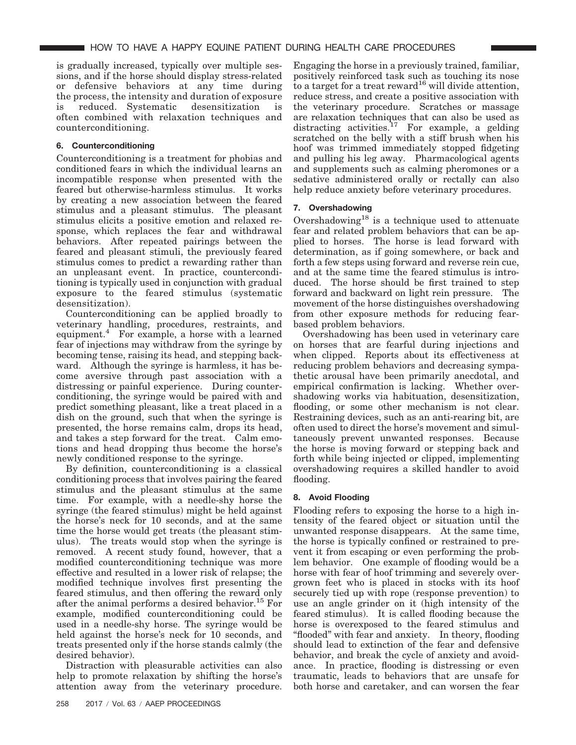is gradually increased, typically over multiple sessions, and if the horse should display stress-related or defensive behaviors at any time during the process, the intensity and duration of exposure is reduced. Systematic desensitization is often combined with relaxation techniques and counterconditioning.

# **6. Counterconditioning**

Counterconditioning is a treatment for phobias and conditioned fears in which the individual learns an incompatible response when presented with the feared but otherwise-harmless stimulus. It works by creating a new association between the feared stimulus and a pleasant stimulus. The pleasant stimulus elicits a positive emotion and relaxed response, which replaces the fear and withdrawal behaviors. After repeated pairings between the feared and pleasant stimuli, the previously feared stimulus comes to predict a rewarding rather than an unpleasant event. In practice, counterconditioning is typically used in conjunction with gradual exposure to the feared stimulus (systematic desensitization).

Counterconditioning can be applied broadly to veterinary handling, procedures, restraints, and equipment.4 For example, a horse with a learned fear of injections may withdraw from the syringe by becoming tense, raising its head, and stepping backward. Although the syringe is harmless, it has become aversive through past association with a distressing or painful experience. During counterconditioning, the syringe would be paired with and predict something pleasant, like a treat placed in a dish on the ground, such that when the syringe is presented, the horse remains calm, drops its head, and takes a step forward for the treat. Calm emotions and head dropping thus become the horse's newly conditioned response to the syringe.

By definition, counterconditioning is a classical conditioning process that involves pairing the feared stimulus and the pleasant stimulus at the same time. For example, with a needle-shy horse the syringe (the feared stimulus) might be held against the horse's neck for 10 seconds, and at the same time the horse would get treats (the pleasant stimulus). The treats would stop when the syringe is removed. A recent study found, however, that a modified counterconditioning technique was more effective and resulted in a lower risk of relapse; the modified technique involves first presenting the feared stimulus, and then offering the reward only after the animal performs a desired behavior.<sup>15</sup> For example, modified counterconditioning could be used in a needle-shy horse. The syringe would be held against the horse's neck for 10 seconds, and treats presented only if the horse stands calmly (the desired behavior).

Distraction with pleasurable activities can also help to promote relaxation by shifting the horse's attention away from the veterinary procedure. Engaging the horse in a previously trained, familiar, positively reinforced task such as touching its nose to a target for a treat reward<sup>16</sup> will divide attention, reduce stress, and create a positive association with the veterinary procedure. Scratches or massage are relaxation techniques that can also be used as distracting activities.<sup>17</sup> For example, a gelding scratched on the belly with a stiff brush when his hoof was trimmed immediately stopped fidgeting and pulling his leg away. Pharmacological agents and supplements such as calming pheromones or a sedative administered orally or rectally can also help reduce anxiety before veterinary procedures.

# **7. Overshadowing**

Overshadowing<sup>18</sup> is a technique used to attenuate fear and related problem behaviors that can be applied to horses. The horse is lead forward with determination, as if going somewhere, or back and forth a few steps using forward and reverse rein cue, and at the same time the feared stimulus is introduced. The horse should be first trained to step forward and backward on light rein pressure. The movement of the horse distinguishes overshadowing from other exposure methods for reducing fearbased problem behaviors.

Overshadowing has been used in veterinary care on horses that are fearful during injections and when clipped. Reports about its effectiveness at reducing problem behaviors and decreasing sympathetic arousal have been primarily anecdotal, and empirical confirmation is lacking. Whether overshadowing works via habituation, desensitization, flooding, or some other mechanism is not clear. Restraining devices, such as an anti-rearing bit, are often used to direct the horse's movement and simultaneously prevent unwanted responses. Because the horse is moving forward or stepping back and forth while being injected or clipped, implementing overshadowing requires a skilled handler to avoid flooding.

# **8. Avoid Flooding**

Flooding refers to exposing the horse to a high intensity of the feared object or situation until the unwanted response disappears. At the same time, the horse is typically confined or restrained to prevent it from escaping or even performing the problem behavior. One example of flooding would be a horse with fear of hoof trimming and severely overgrown feet who is placed in stocks with its hoof securely tied up with rope (response prevention) to use an angle grinder on it (high intensity of the feared stimulus). It is called flooding because the horse is overexposed to the feared stimulus and "flooded" with fear and anxiety. In theory, flooding should lead to extinction of the fear and defensive behavior, and break the cycle of anxiety and avoidance. In practice, flooding is distressing or even traumatic, leads to behaviors that are unsafe for both horse and caretaker, and can worsen the fear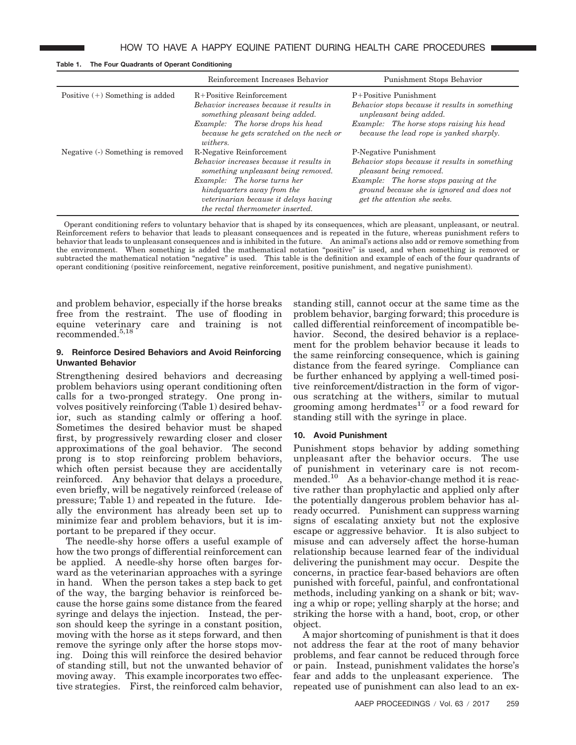|                                   | Reinforcement Increases Behavior                                                                                                               | Punishment Stops Behavior                                                                                                                       |
|-----------------------------------|------------------------------------------------------------------------------------------------------------------------------------------------|-------------------------------------------------------------------------------------------------------------------------------------------------|
| Positive $(+)$ Something is added | $R+Positive$ Reinforcement<br>Behavior increases because it results in<br>something pleasant being added.<br>Example: The horse drops his head | P+Positive Punishment<br>Behavior stops because it results in something<br>unpleasant being added.<br>Example: The horse stops raising his head |
|                                   | because he gets scratched on the neck or<br><i>withers.</i>                                                                                    | because the lead rope is yanked sharply.                                                                                                        |
| Negative (-) Something is removed | R-Negative Reinforcement<br>Behavior increases because it results in<br>something unpleasant being removed.                                    | P-Negative Punishment<br>Behavior stops because it results in something<br>pleasant being removed.                                              |
|                                   | Example: The horse turns her<br>hindquarters away from the<br>veterinarian because it delays having<br>the rectal thermometer inserted.        | Example: The horse stops pawing at the<br>ground because she is ignored and does not<br>get the attention she seeks.                            |

**Table 1. The Four Quadrants of Operant Conditioning**

Operant conditioning refers to voluntary behavior that is shaped by its consequences, which are pleasant, unpleasant, or neutral. Reinforcement refers to behavior that leads to pleasant consequences and is repeated in the future, whereas punishment refers to behavior that leads to unpleasant consequences and is inhibited in the future. An animal's actions also add or remove something from the environment. When something is added the mathematical notation "positive" is used, and when something is removed or subtracted the mathematical notation "negative" is used. This table is the definition and example of each of the four quadrants of operant conditioning (positive reinforcement, negative reinforcement, positive punishment, and negative punishment).

and problem behavior, especially if the horse breaks free from the restraint. The use of flooding in equine veterinary care and training is not recommended.5,18

## **9. Reinforce Desired Behaviors and Avoid Reinforcing Unwanted Behavior**

Strengthening desired behaviors and decreasing problem behaviors using operant conditioning often calls for a two-pronged strategy. One prong involves positively reinforcing (Table 1) desired behavior, such as standing calmly or offering a hoof. Sometimes the desired behavior must be shaped first, by progressively rewarding closer and closer approximations of the goal behavior. The second prong is to stop reinforcing problem behaviors, which often persist because they are accidentally reinforced. Any behavior that delays a procedure, even briefly, will be negatively reinforced (release of pressure; Table 1) and repeated in the future. Ideally the environment has already been set up to minimize fear and problem behaviors, but it is important to be prepared if they occur.

The needle-shy horse offers a useful example of how the two prongs of differential reinforcement can be applied. A needle-shy horse often barges forward as the veterinarian approaches with a syringe in hand. When the person takes a step back to get of the way, the barging behavior is reinforced because the horse gains some distance from the feared syringe and delays the injection. Instead, the person should keep the syringe in a constant position, moving with the horse as it steps forward, and then remove the syringe only after the horse stops moving. Doing this will reinforce the desired behavior of standing still, but not the unwanted behavior of moving away. This example incorporates two effective strategies. First, the reinforced calm behavior,

standing still, cannot occur at the same time as the problem behavior, barging forward; this procedure is called differential reinforcement of incompatible behavior. Second, the desired behavior is a replacement for the problem behavior because it leads to the same reinforcing consequence, which is gaining distance from the feared syringe. Compliance can be further enhanced by applying a well-timed positive reinforcement/distraction in the form of vigorous scratching at the withers, similar to mutual grooming among herdmates $^{17}$  or a food reward for standing still with the syringe in place.

## **10. Avoid Punishment**

Punishment stops behavior by adding something unpleasant after the behavior occurs. The use of punishment in veterinary care is not recommended.<sup>10</sup> As a behavior-change method it is reactive rather than prophylactic and applied only after the potentially dangerous problem behavior has already occurred. Punishment can suppress warning signs of escalating anxiety but not the explosive escape or aggressive behavior. It is also subject to misuse and can adversely affect the horse-human relationship because learned fear of the individual delivering the punishment may occur. Despite the concerns, in practice fear-based behaviors are often punished with forceful, painful, and confrontational methods, including yanking on a shank or bit; waving a whip or rope; yelling sharply at the horse; and striking the horse with a hand, boot, crop, or other object.

A major shortcoming of punishment is that it does not address the fear at the root of many behavior problems, and fear cannot be reduced through force or pain. Instead, punishment validates the horse's fear and adds to the unpleasant experience. The repeated use of punishment can also lead to an ex-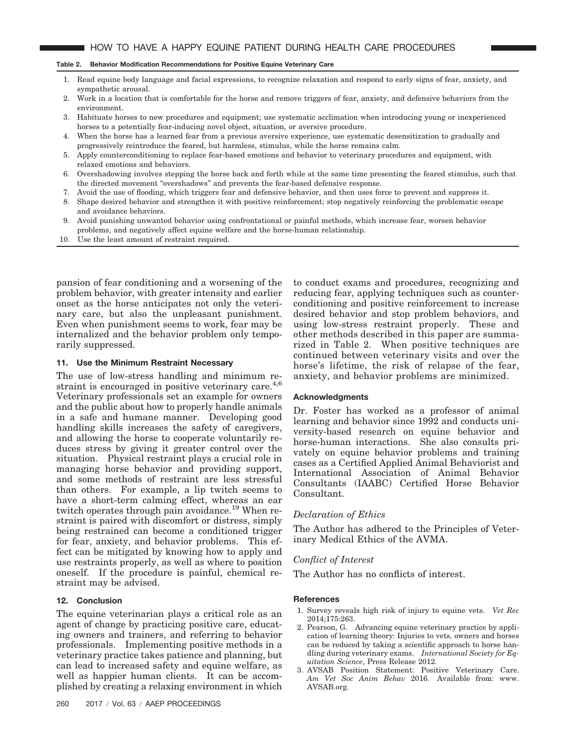#### **Table 2. Behavior Modification Recommendations for Positive Equine Veterinary Care**

- 1. Read equine body language and facial expressions, to recognize relaxation and respond to early signs of fear, anxiety, and sympathetic arousal.
- 2. Work in a location that is comfortable for the horse and remove triggers of fear, anxiety, and defensive behaviors from the environment.
- 3. Habituate horses to new procedures and equipment; use systematic acclimation when introducing young or inexperienced horses to a potentially fear-inducing novel object, situation, or aversive procedure.
- 4. When the horse has a learned fear from a previous aversive experience, use systematic desensitization to gradually and progressively reintroduce the feared, but harmless, stimulus, while the horse remains calm.
- 5. Apply counterconditioning to replace fear-based emotions and behavior to veterinary procedures and equipment, with relaxed emotions and behaviors.
- 6. Overshadowing involves stepping the horse back and forth while at the same time presenting the feared stimulus, such that the directed movement "overshadows" and prevents the fear-based defensive response.
- 7. Avoid the use of flooding, which triggers fear and defensive behavior, and then uses force to prevent and suppress it.
- 8. Shape desired behavior and strengthen it with positive reinforcement; stop negatively reinforcing the problematic escape and avoidance behaviors.
- 9. Avoid punishing unwanted behavior using confrontational or painful methods, which increase fear, worsen behavior problems, and negatively affect equine welfare and the horse-human relationship.
- 10. Use the least amount of restraint required.

pansion of fear conditioning and a worsening of the problem behavior, with greater intensity and earlier onset as the horse anticipates not only the veterinary care, but also the unpleasant punishment. Even when punishment seems to work, fear may be internalized and the behavior problem only temporarily suppressed.

## **11. Use the Minimum Restraint Necessary**

The use of low-stress handling and minimum restraint is encouraged in positive veterinary care.<sup>4,6</sup> Veterinary professionals set an example for owners and the public about how to properly handle animals in a safe and humane manner. Developing good handling skills increases the safety of caregivers, and allowing the horse to cooperate voluntarily reduces stress by giving it greater control over the situation. Physical restraint plays a crucial role in managing horse behavior and providing support, and some methods of restraint are less stressful than others. For example, a lip twitch seems to have a short-term calming effect, whereas an ear twitch operates through pain avoidance.<sup>19</sup> When restraint is paired with discomfort or distress, simply being restrained can become a conditioned trigger for fear, anxiety, and behavior problems. This effect can be mitigated by knowing how to apply and use restraints properly, as well as where to position oneself. If the procedure is painful, chemical restraint may be advised.

## **12. Conclusion**

The equine veterinarian plays a critical role as an agent of change by practicing positive care, educating owners and trainers, and referring to behavior professionals. Implementing positive methods in a veterinary practice takes patience and planning, but can lead to increased safety and equine welfare, as well as happier human clients. It can be accomplished by creating a relaxing environment in which

to conduct exams and procedures, recognizing and reducing fear, applying techniques such as counterconditioning and positive reinforcement to increase desired behavior and stop problem behaviors, and using low-stress restraint properly. These and other methods described in this paper are summarized in Table 2. When positive techniques are continued between veterinary visits and over the horse's lifetime, the risk of relapse of the fear, anxiety, and behavior problems are minimized.

#### **Acknowledgments**

Dr. Foster has worked as a professor of animal learning and behavior since 1992 and conducts university-based research on equine behavior and horse-human interactions. She also consults privately on equine behavior problems and training cases as a Certified Applied Animal Behaviorist and International Association of Animal Behavior Consultants (IAABC) Certified Horse Behavior Consultant.

## *Declaration of Ethics*

The Author has adhered to the Principles of Veterinary Medical Ethics of the AVMA.

## *Conflict of Interest*

The Author has no conflicts of interest.

## **References**

- 1. Survey reveals high risk of injury to equine vets. *Vet Rec* 2014;175:263.
- 2. Pearson, G. Advancing equine veterinary practice by application of learning theory: Injuries to vets, owners and horses can be reduced by taking a scientific approach to horse handling during veterinary exams. *International Society for Equitation Science*, Press Release 2012.
- 3. AVSAB Position Statement: Positive Veterinary Care. *Am Vet Soc Anim Behav* 2016. Available from: www. AVSAB.org.